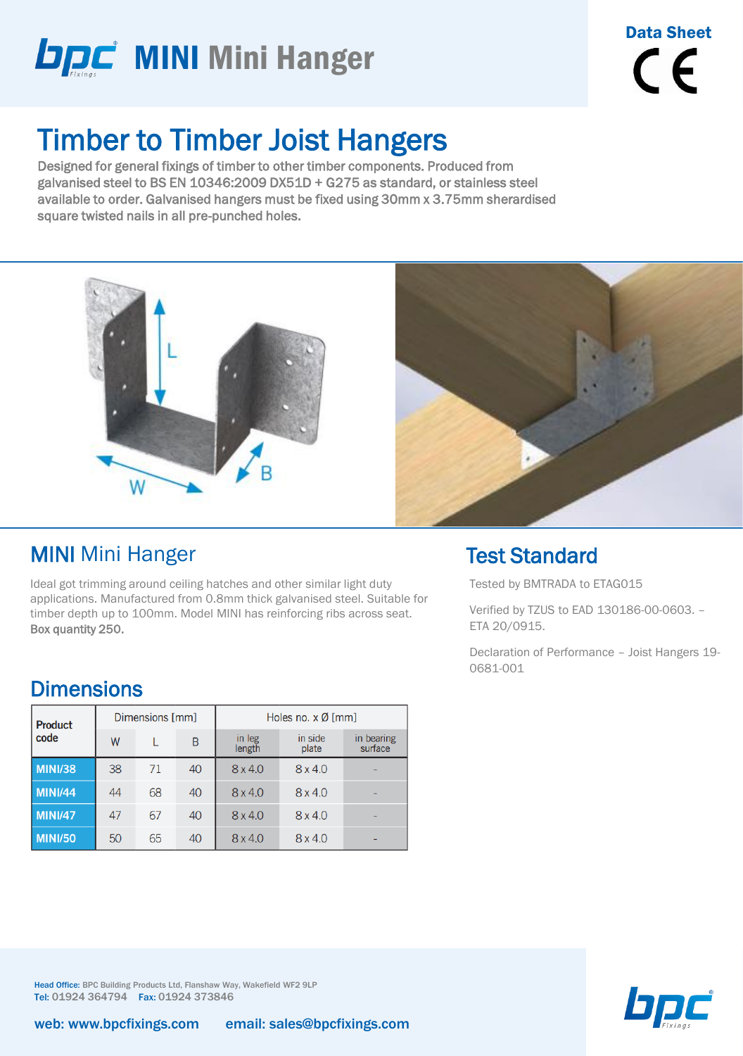

### Timber to Timber Joist Hangers

Designed for general fixings of timber to other timber components. Produced from galvanised steel to BS EN 10346:2009 DX51D + G275 as standard, or stainless steel available to order. Galvanised hangers must be fixed using 30mm x 3.75mm sherardised square twisted nails in all pre-punched holes.





#### MINI Mini Hanger

Ideal got trimming around ceiling hatches and other similar light duty applications. Manufactured from 0.8mm thick galvanised steel. Suitable for timber depth up to 100mm. Model MINI has reinforcing ribs across seat. Box quantity 250.

### **Dimensions**

| <b>Product</b> |    | Dimensions [mm] |    | Holes no. $x \emptyset$ [mm] |                  |                       |  |  |
|----------------|----|-----------------|----|------------------------------|------------------|-----------------------|--|--|
| code           | W  |                 | B  | in leg<br>length             | in side<br>plate | in bearing<br>surface |  |  |
| <b>MINI/38</b> | 38 | 71              | 40 | 8x4.0                        | $8 \times 4.0$   |                       |  |  |
| <b>MINI/44</b> | 44 | 68              | 40 | 8x4.0                        | 8x4.0            |                       |  |  |
| <b>MINI/47</b> | 47 | 67              | 40 | 8 x 4.0                      | 8x4.0            |                       |  |  |
| <b>MINI/50</b> | 50 | 65              | 40 | 8x4.0                        | 8x4.0            |                       |  |  |

### Test Standard

Tested by BMTRADA to ETAG015

Verified by TZUS to EAD 130186-00-0603. – ETA 20/0915.

Declaration of Performance – Joist Hangers 19- 0681-001



Head Office: BPC Building Products Ltd, Flanshaw Way, Wakefield WF2 9LP Tel: 01924 364794 Fax: 01924 373846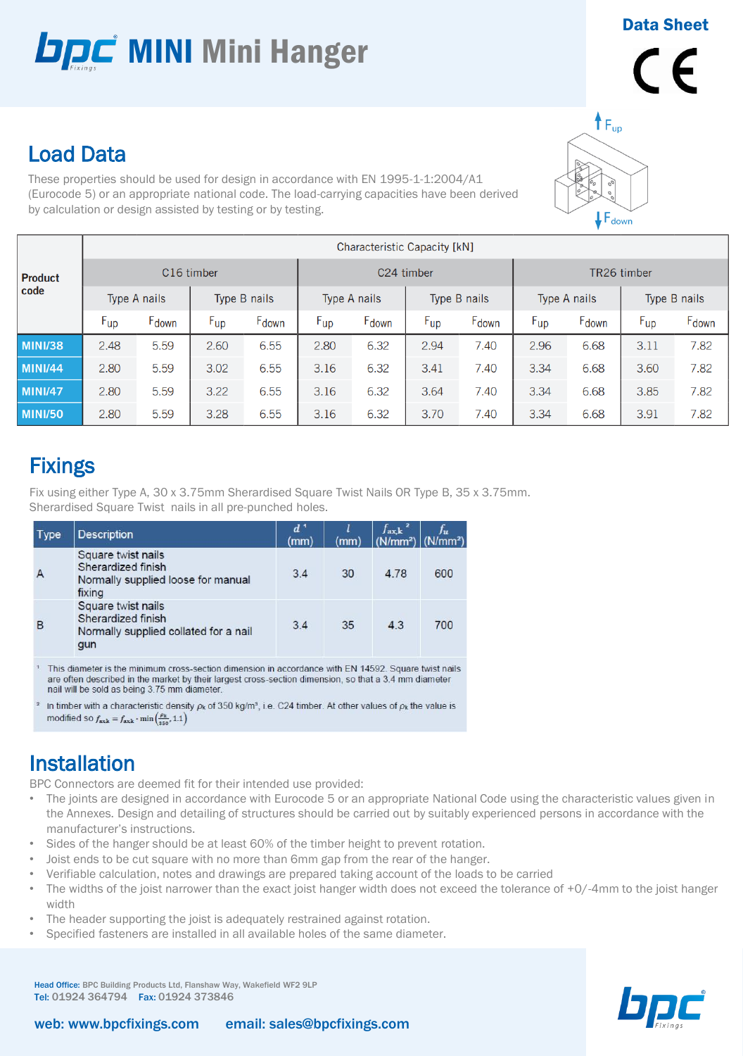## **DDC** MINI Mini Hanger

Data Sheet

# $\epsilon$

### Load Data

These properties should be used for design in accordance with EN 1995-1-1:2004/A1 (Eurocode 5) or an appropriate national code. The load-carrying capacities have been derived by calculation or design assisted by testing or by testing.

|                | Characteristic Capacity [kN] |       |                 |                   |                 |                   |                 |       |              |       |              |                   |
|----------------|------------------------------|-------|-----------------|-------------------|-----------------|-------------------|-----------------|-------|--------------|-------|--------------|-------------------|
| <b>Product</b> | C <sub>16</sub> timber       |       |                 |                   | C24 timber      |                   |                 |       | TR26 timber  |       |              |                   |
| code           | Type A nails                 |       | Type B nails    |                   | Type A nails    |                   | Type B nails    |       | Type A nails |       | Type B nails |                   |
|                | $F_{up}$                     | Fdown | $F_{\text{up}}$ | F <sub>down</sub> | $F_{\text{up}}$ | F <sub>down</sub> | $F_{\text{up}}$ | Fdown | $F_{up}$     | Fdown | $F_{up}$     | F <sub>down</sub> |
| <b>MINI/38</b> | 2.48                         | 5.59  | 2.60            | 6.55              | 2.80            | 6.32              | 2.94            | 7.40  | 2.96         | 6.68  | 3.11         | 7.82              |
| <b>MINI/44</b> | 2.80                         | 5.59  | 3.02            | 6.55              | 3.16            | 6.32              | 3.41            | 7.40  | 3.34         | 6.68  | 3.60         | 7.82              |
| <b>MINI/47</b> | 2.80                         | 5.59  | 3.22            | 6.55              | 3.16            | 6.32              | 3.64            | 7.40  | 3.34         | 6.68  | 3.85         | 7.82              |
| <b>MINI/50</b> | 2.80                         | 5.59  | 3.28            | 6.55              | 3.16            | 6.32              | 3.70            | 7.40  | 3.34         | 6.68  | 3.91         | 7.82              |

### **Fixings**

Fix using either Type A, 30 x 3.75mm Sherardised Square Twist Nails OR Type B, 35 x 3.75mm. Sherardised Square Twist nails in all pre-punched holes.

| <b>Type</b> | <b>Description</b>                                                                                                                                                                                                                   | $d^1$<br>(mm) | (mm) | $f_{\mathbf{ax},\mathbf{k}}$<br>$(N/mm2)$ (N/mm <sup>2</sup> ) |     |
|-------------|--------------------------------------------------------------------------------------------------------------------------------------------------------------------------------------------------------------------------------------|---------------|------|----------------------------------------------------------------|-----|
|             | Square twist nails<br>Sherardized finish<br>Normally supplied loose for manual<br>fixing                                                                                                                                             | 3.4           | 30   | 4.78                                                           | 600 |
| в           | Square twist nails<br>Sherardized finish<br>Normally supplied collated for a nail<br>gun                                                                                                                                             | 3.4           | 35   | 4.3                                                            | 700 |
|             | <b>THE REAL PROPERTY AND RELEASED FOR A RELEASED FOR A RELEASED FOR A RELEASED FOR A RELEASED FOR A RELEASED FOR A RELEASED FOR A RELEASED FOR A RELEASED FOR A RELEASED FOR A RELEASED FOR A RELEASED FOR A RELEASED FOR A RELE</b> |               |      |                                                                |     |

This diameter is the minimum cross-section dimension in accordance with EN 14592. Square twist nails are often described in the market by their largest cross-section dimension, so that a 3.4 mm diameter nail will be sold as being 3.75 mm diameter

<sup>2</sup> In timber with a characteristic density  $\rho_k$  of 350 kg/m<sup>3</sup>, i.e. C24 timber. At other values of  $\rho_k$  the value is modified so  $f_{\text{axk}} = f_{\text{axk}} \cdot \min\left(\frac{\rho_k}{250}, 1.1\right)$ 

### Installation

BPC Connectors are deemed fit for their intended use provided:

- The joints are designed in accordance with Eurocode 5 or an appropriate National Code using the characteristic values given in the Annexes. Design and detailing of structures should be carried out by suitably experienced persons in accordance with the manufacturer's instructions.
- Sides of the hanger should be at least 60% of the timber height to prevent rotation.
- Joist ends to be cut square with no more than 6mm gap from the rear of the hanger.
- Verifiable calculation, notes and drawings are prepared taking account of the loads to be carried
- The widths of the joist narrower than the exact joist hanger width does not exceed the tolerance of +0/-4mm to the joist hanger width
- The header supporting the joist is adequately restrained against rotation.
- Specified fasteners are installed in all available holes of the same diameter.

Head Office: BPC Building Products Ltd, Flanshaw Way, Wakefield WF2 9LP Tel: 01924 364794 Fax: 01924 373846